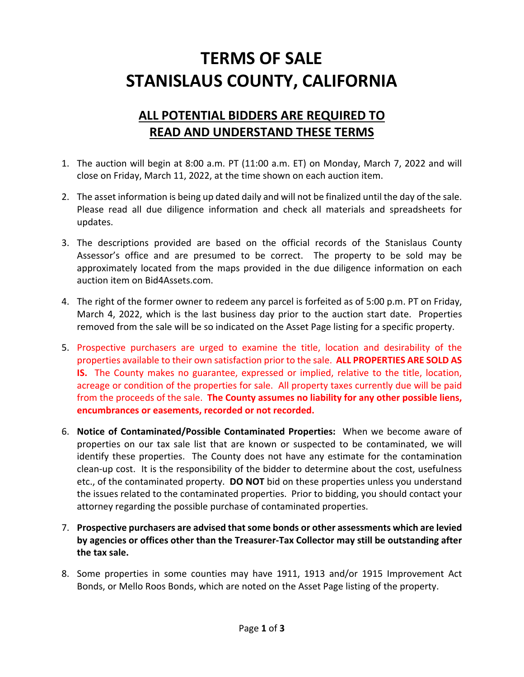## **TERMS OF SALE STANISLAUS COUNTY, CALIFORNIA**

## **ALL POTENTIAL BIDDERS ARE REQUIRED TO READ AND UNDERSTAND THESE TERMS**

- 1. The auction will begin at 8:00 a.m. PT (11:00 a.m. ET) on Monday, March 7, 2022 and will close on Friday, March 11, 2022, at the time shown on each auction item.
- 2. The asset information is being up dated daily and will not be finalized until the day of the sale. Please read all due diligence information and check all materials and spreadsheets for updates.
- 3. The descriptions provided are based on the official records of the Stanislaus County Assessor's office and are presumed to be correct. The property to be sold may be approximately located from the maps provided in the due diligence information on each auction item on Bid4Assets.com.
- 4. The right of the former owner to redeem any parcel is forfeited as of 5:00 p.m. PT on Friday, March 4, 2022, which is the last business day prior to the auction start date. Properties removed from the sale will be so indicated on the Asset Page listing for a specific property.
- 5. Prospective purchasers are urged to examine the title, location and desirability of the properties available to their own satisfaction prior to the sale. **ALL PROPERTIES ARE SOLD AS IS.** The County makes no guarantee, expressed or implied, relative to the title, location, acreage or condition of the properties for sale. All property taxes currently due will be paid from the proceeds of the sale. **The County assumes no liability for any other possible liens, encumbrances or easements, recorded or not recorded.**
- 6. **Notice of Contaminated/Possible Contaminated Properties:** When we become aware of properties on our tax sale list that are known or suspected to be contaminated, we will identify these properties. The County does not have any estimate for the contamination clean‐up cost. It is the responsibility of the bidder to determine about the cost, usefulness etc., of the contaminated property. **DO NOT** bid on these properties unless you understand the issues related to the contaminated properties. Prior to bidding, you should contact your attorney regarding the possible purchase of contaminated properties.
- 7. **Prospective purchasers are advised thatsome bonds or other assessments which are levied by agencies or offices other than the Treasurer‐Tax Collector may still be outstanding after the tax sale.**
- 8. Some properties in some counties may have 1911, 1913 and/or 1915 Improvement Act Bonds, or Mello Roos Bonds, which are noted on the Asset Page listing of the property.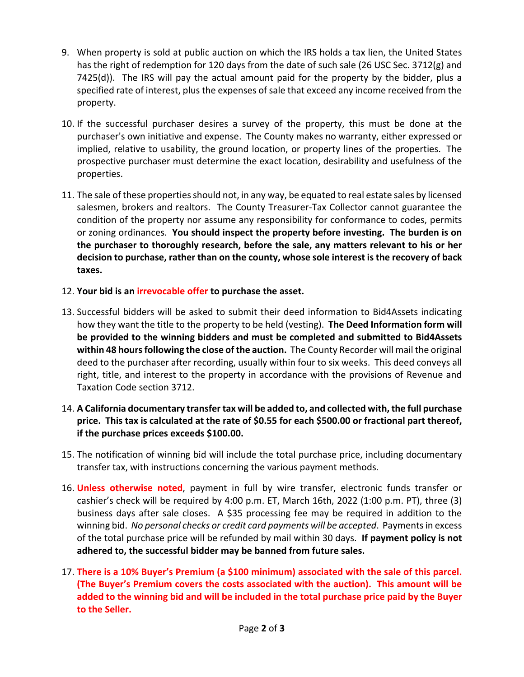- 9. When property is sold at public auction on which the IRS holds a tax lien, the United States has the right of redemption for 120 days from the date of such sale (26 USC Sec. 3712(g) and 7425(d)). The IRS will pay the actual amount paid for the property by the bidder, plus a specified rate of interest, plus the expenses of sale that exceed any income received from the property.
- 10. If the successful purchaser desires a survey of the property, this must be done at the purchaser's own initiative and expense. The County makes no warranty, either expressed or implied, relative to usability, the ground location, or property lines of the properties. The prospective purchaser must determine the exact location, desirability and usefulness of the properties.
- 11. The sale of these properties should not, in any way, be equated to real estate sales by licensed salesmen, brokers and realtors. The County Treasurer‐Tax Collector cannot guarantee the condition of the property nor assume any responsibility for conformance to codes, permits or zoning ordinances. **You should inspect the property before investing. The burden is on the purchaser to thoroughly research, before the sale, any matters relevant to his or her decision to purchase, rather than on the county, whose sole interest is the recovery of back taxes.**
- 12. **Your bid is an irrevocable offer to purchase the asset.**
- 13. Successful bidders will be asked to submit their deed information to Bid4Assets indicating how they want the title to the property to be held (vesting). **The Deed Information form will be provided to the winning bidders and must be completed and submitted to Bid4Assets within 48 hoursfollowing the close of the auction.** The County Recorder will mail the original deed to the purchaser after recording, usually within four to six weeks. This deed conveys all right, title, and interest to the property in accordance with the provisions of Revenue and Taxation Code section 3712.
- 14. **A California documentary transfer tax will be added to, and collected with, the full purchase price. This tax is calculated at the rate of \$0.55 for each \$500.00 or fractional part thereof, if the purchase prices exceeds \$100.00.**
- 15. The notification of winning bid will include the total purchase price, including documentary transfer tax, with instructions concerning the various payment methods.
- 16. **Unless otherwise noted**, payment in full by wire transfer, electronic funds transfer or cashier's check will be required by 4:00 p.m. ET, March 16th, 2022 (1:00 p.m. PT), three (3) business days after sale closes. A \$35 processing fee may be required in addition to the winning bid. *No personal checks or credit card payments will be accepted*. Paymentsin excess of the total purchase price will be refunded by mail within 30 days. **If payment policy is not adhered to, the successful bidder may be banned from future sales.**
- 17. **There is a 10% Buyer's Premium (a \$100 minimum) associated with the sale of this parcel. (The Buyer's Premium covers the costs associated with the auction). This amount will be added to the winning bid and will be included in the total purchase price paid by the Buyer to the Seller.**